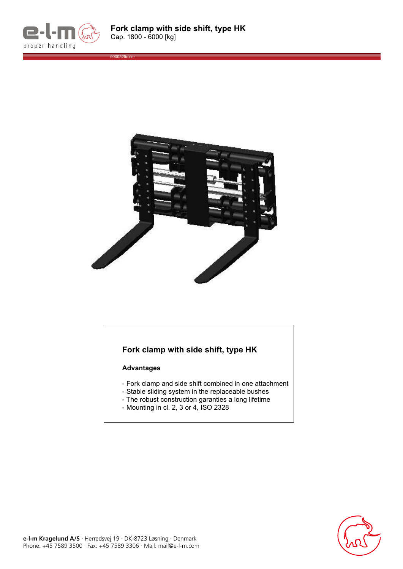

0000525c.cdr



## **Fork clamp with side shift, type HK**

## **Advantages**

- Fork clamp and side shift combined in one attachment
- Stable sliding system in the replaceable bushes
- The robust construction garanties a long lifetime
- Mounting in cl. 2, 3 or 4, ISO 2328